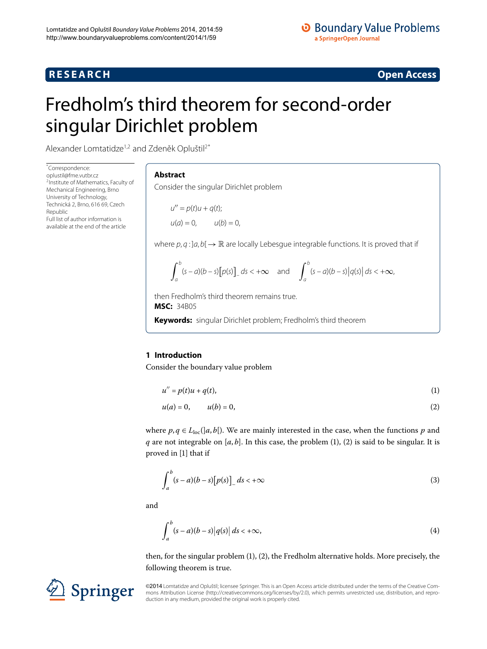# **R E S E A R C H Open Access**



# <span id="page-0-0"></span>Fredholm's third theorem for second-order singular Dirichlet problem

Alexander Lomtatidze<sup>1,[2](#page-11-1)</sup> and Zdeněk Opluštil<sup>2[\\*](#page-0-0)</sup>

\* Correspondence: [oplustil@fme.vutbr.cz](mailto:oplustil@fme.vutbr.cz) <sup>2</sup> Institute of Mathematics, Faculty of Mechanical Engineering, Brno University of Technology, Technická 2, Brno, 616 69, Czech Republic Full list of author information is available at the end of the article

### **Abstract**

Consider the singular Dirichlet problem

 $u'' = p(t)u + q(t);$  $u(a) = 0,$   $u(b) = 0,$ 

where  $p, q$  :  $]a, b[ \rightarrow \mathbb{R}$  are locally Lebesgue integrable functions. It is proved that if

<span id="page-0-2"></span><span id="page-0-1"></span>
$$
\int_a^b (s-a)(b-s) [p(s)]_s ds < +\infty \quad \text{and} \quad \int_a^b (s-a)(b-s) |q(s)| ds < +\infty,
$$

then Fredholm's third theorem remains true. **MSC:** 34B05

**Keywords:** singular Dirichlet problem; Fredholm's third theorem

# **1 Introduction**

Consider the boundary value problem

$$
u'' = p(t)u + q(t),\tag{1}
$$

<span id="page-0-3"></span>
$$
u(a) = 0, \qquad u(b) = 0,\tag{2}
$$

where  $p, q \in L_{loc}([a, b])$ . We are mainly interested in the case, when the functions p and *q* are not integrable on  $[a, b]$ . In this case, the problem  $(1)$  $(1)$ ,  $(2)$  $(2)$  is said to be singular. It is proved in [1[\]](#page-11-2) that if

<span id="page-0-4"></span>
$$
\int_{a}^{b} (s-a)(b-s)[p(s)]_{-} ds < +\infty
$$
\n(3)

and

$$
\int_{a}^{b} (s-a)(b-s) |q(s)| ds < +\infty,
$$
\n(4)

then, for the singular problem (1[\)](#page-0-1), [\(](#page-0-2)2), the Fredholm alternative holds. More precisely, the following theorem is true.



©2014 Lomtatidze and Opluštil; licensee Springer. This is an Open Access article distributed under the terms of the Creative Commons Attribution License (<http://creativecommons.org/licenses/by/2.0>), which permits unrestricted use, distribution, and reproduction in any medium, provided the original work is properly cited.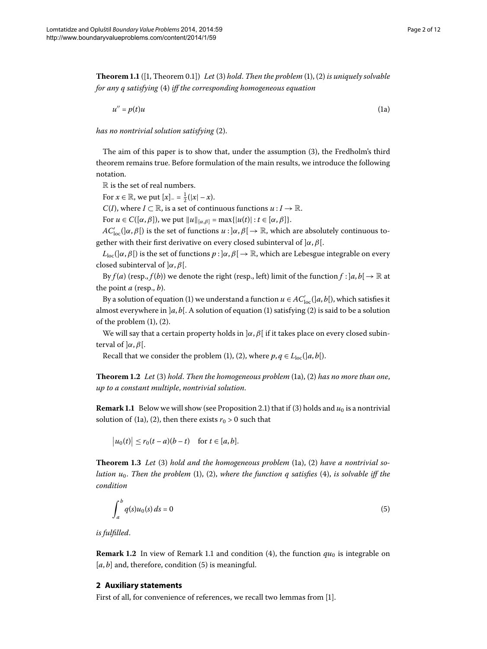<span id="page-1-5"></span>**Theorem 1.1** ([\[](#page-11-2)1, Theorem 0.1][\)](#page-0-2) Let [\(](#page-0-1)3) hold. Then the problem  $(1)$ , (2) is uniquely solvable *for any q satisfying* (4) *iff the corresponding homogeneous equation* 

<span id="page-1-0"></span>
$$
u'' = p(t)u \tag{1a}
$$

*has no nontrivial solution satisfying* (2[\)](#page-0-2).

The aim of this paper is to show that, under the assumption [\(](#page-0-3)3), the Fredholm's third theorem remains true. Before formulation of the main results, we introduce the following notation.

R is the set of real numbers.

For  $x \in \mathbb{R}$ , we put  $[x]_-=\frac{1}{2}(|x|-x)$ .

*C*(*I*), where *I* ⊂ ℝ, is a set of continuous functions  $u: I \to \mathbb{R}$ .

For  $u \in C([\alpha, \beta])$ , we put  $||u||_{[\alpha, \beta]} = \max\{|u(t)| : t \in [\alpha, \beta]\}.$ 

*AC*<sup>'</sup><sub>loc</sub>(]α, *β*[) is the set of functions  $u : ]\alpha, \beta[ \to \mathbb{R}$ , which are absolutely continuous together with their first derivative on every closed subinterval of ]*α*,*β*[.

 $L_{\text{loc}}(|\alpha, \beta|)$  is the set of functions  $p : |\alpha, \beta| \to \mathbb{R}$ , which are Lebesgue integrable on every closed subinterval of ]*α*,*β*[.

By  $f(a)$  (resp.,  $f(b)$ ) we denote the right (resp., left) limit of the function  $f : |a, b| \to \mathbb{R}$  at the point *a* (resp., *b*).

<span id="page-1-4"></span>By a solution of equation (1[\)](#page-0-1) we understand a function  $u \in AC'_{loc}([a, b[), \text{which satisfies it})$ almost everywhere in  $]a, b[$ . A solution of equation (1[\)](#page-0-2) satisfying (2) is said to be a solution of the problem  $(1)$  $(1)$ ,  $(2)$ .

<span id="page-1-1"></span>We will say that a certain property holds in ]*α*,*β*[ if it takes place on every closed subinterval of  $\alpha$ *, β*[.

Recall that we consider the problem (1[\)](#page-0-2), (2), where  $p, q \in L_{loc}([a, b])$ .

<span id="page-1-3"></span>**Theorem 1.2** Let (3[\)](#page-0-2) hold. Then the homogeneous problem (1[a](#page-1-0)), (2) has no more than one, *up to a constant multiple*, *nontrivial solution*.

**Remark 1[.](#page-2-0)1** Below we will show (see Proposition 2.1[\)](#page-0-3) that if (3) holds and  $u_0$  is a nontrivial solution of (1a[\)](#page-0-2), (2), then there exists  $r_0 > 0$  such that

<span id="page-1-2"></span> $|u_0(t)| \le r_0(t-a)(b-t)$  for  $t \in [a, b]$ .

**Theorem 1.3** Let (3[\)](#page-0-2) hold and the homogeneous problem (1a), (2) have a nontrivial so*lution*  $u_0$ . Then the problem (1[\)](#page-0-4), (2), where the function q satisfies (4), is solvable iff the *condition*

$$
\int_{a}^{b} q(s)u_0(s) ds = 0
$$
\n<sup>(5)</sup>

*is fulfilled*.

**Remark 1[.](#page-1-1)2** In view of Remark 1.1 and condition [\(](#page-0-4)4), the function  $qu_0$  is integrable on  $[a, b]$  and, therefore, condition  $(5)$  $(5)$  is meaningful.

#### **2 Auxiliary statements**

First of all, for convenience of references, we recall two lemmas from [1].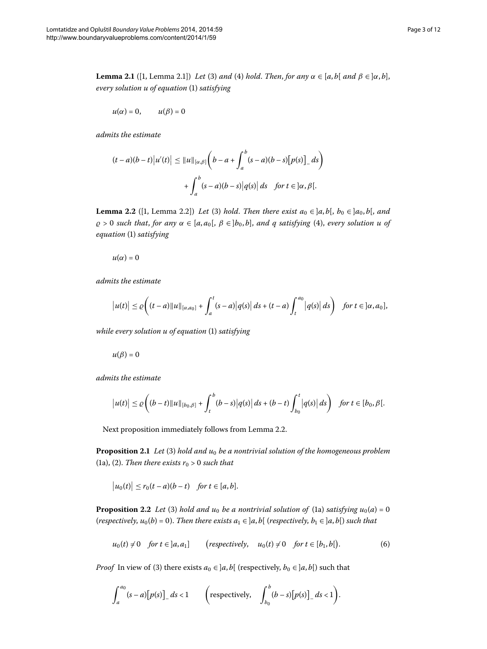<span id="page-2-4"></span>**Lemma 2.1** ([1[,](#page-11-2) Lemma 2.1]) *Let* [\(](#page-0-3)3) *and* (4) *hold. Then, for any*  $\alpha \in [a, b[$  *and*  $\beta \in ]\alpha, b]$ , *every solution u of equation* (1[\)](#page-0-1) *satisfying* 

$$
u(\alpha)=0, \qquad u(\beta)=0
$$

*admits the estimate*

<span id="page-2-1"></span>
$$
(t-a)(b-t)|u'(t)| \le ||u||_{[\alpha,\beta]} \left(b-a+\int_a^b (s-a)(b-s)[p(s)]_ds\right)
$$

$$
+\int_a^b (s-a)(b-s)|q(s)|ds \text{ for } t \in ]\alpha,\beta[.
$$

**Lemma 2.2** ([1[,](#page-11-2) Lemma 2.2]) *Let* [\(](#page-0-3)3) *hold. Then there exist*  $a_0 \in ]a, b[$ ,  $b_0 \in ]a_0, b[$ , and  $\rho > 0$  such that, for any  $\alpha \in [a, a_0], \beta \in [b_0, b]$ , and q satisfying (4[\)](#page-0-4), every solution u of  $equation (1) satisfying$ 

 $u(\alpha)=0$ 

*admits the estimate*

$$
|u(t)| \leq \varrho \bigg( (t-a) ||u||_{[\alpha,a_0]} + \int_a^t (s-a) |q(s)| ds + (t-a) \int_t^{a_0} |q(s)| ds \bigg) \text{ for } t \in [\alpha,a_0],
$$

*while every solution u of equation* [\(](#page-0-1)1) *satisfying* 

 $u(\beta)=0$ 

<span id="page-2-0"></span>*admits the estimate*

$$
|u(t)| \leq \varrho \bigg((b-t) ||u||_{[b_0,\beta]} + \int_t^b (b-s) |q(s)| ds + (b-t) \int_{b_0}^t |q(s)| ds \bigg) \text{ for } t \in [b_0, \beta[.
$$

<span id="page-2-3"></span>Next proposition immediately follows from Lemma 2[.](#page-2-1)2.

**Proposition 2.1** Let (3[\)](#page-0-3) hold and  $u_0$  be a nontrivial solution of the homogeneous problem (1[a](#page-1-0)), [\(](#page-0-2)2). *Then there exists*  $r_0 > 0$  such that

<span id="page-2-2"></span>
$$
|u_0(t)| \le r_0(t-a)(b-t) \quad \text{for } t \in [a,b].
$$

**Proposition 2.2** Let (3[\)](#page-0-3) hold [a](#page-1-0)nd  $u_0$  be a nontrivial solution of (1a) satisfying  $u_0(a) = 0$ (*respectively*,  $u_0(b) = 0$ ). Then there exists  $a_1 \in [a, b]$  (*respectively*,  $b_1 \in [a, b]$ ) such that

$$
u_0(t) \neq 0 \quad \text{for } t \in [a, a_1] \qquad \text{(respectively,} \quad u_0(t) \neq 0 \quad \text{for } t \in [b_1, b]\text{)}.
$$

*Proof* In view of [\(](#page-0-3)3) there exists  $a_0 \in ]a, b[$  (respectively,  $b_0 \in ]a, b[$ ) such that

$$
\int_{a}^{a_0} (s-a)[p(s)]_{-} ds < 1 \qquad \left(\text{respectively, } \int_{b_0}^{b} (b-s)[p(s)]_{-} ds < 1\right).
$$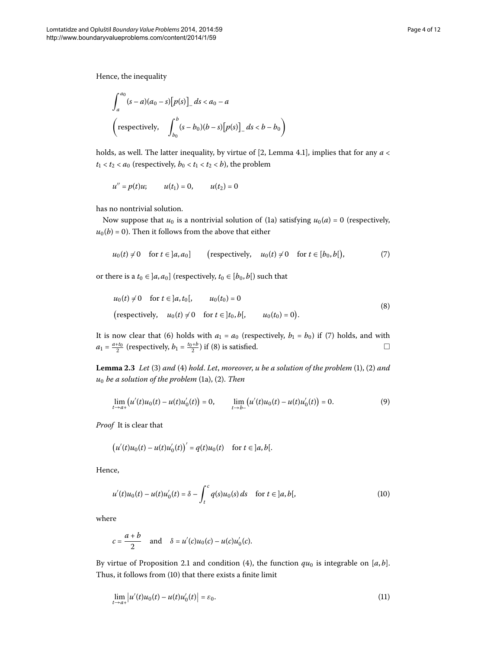$$
\int_{a}^{a_0} (s-a)(a_0-s)[p(s)]_s ds < a_0 - a
$$
  
\n
$$
\left(\text{respectively, } \int_{b_0}^{b} (s-b_0)(b-s)[p(s)]_s ds < b - b_0\right)
$$

holds, as well. The latter inequality, by virtue of [\[](#page-11-3)2, Lemma 4.1], implies that for any  $a <$  $t_1 < t_2 < a_0$  (respectively,  $b_0 < t_1 < t_2 < b$ ), the problem

<span id="page-3-0"></span>
$$
u'' = p(t)u;
$$
  $u(t_1) = 0,$   $u(t_2) = 0$ 

has no nontrivial solution.

Now suppose that  $u_0$  is a nontrivial solution of (1a) satisfying  $u_0(a) = 0$  $u_0(a) = 0$  $u_0(a) = 0$  (respectively,  $u_0(b) = 0$ ). Then it follows from the above that either

<span id="page-3-1"></span>
$$
u_0(t) \neq 0
$$
 for  $t \in [a, a_0]$  (respectively,  $u_0(t) \neq 0$  for  $t \in [b_0, b]$ ), (7)

<span id="page-3-5"></span>or there is a  $t_0 \in [a, a_0]$  (respectively,  $t_0 \in [b_0, b]$ ) such that

<span id="page-3-4"></span>
$$
u_0(t) \neq 0
$$
 for  $t \in ]a, t_0[,$   $u_0(t_0) = 0$   
\n(respectively,  $u_0(t) \neq 0$  for  $t \in ]t_0, b[,$   $u_0(t_0) = 0$ ). (8)

It is now clear that (6[\)](#page-3-0) holds with  $a_1 = a_0$  (respectively,  $b_1 = b_0$ ) if (7) holds, and with  $a_1 = \frac{a + t_0}{2}$  [\(](#page-3-1)respectively,  $b_1 = \frac{t_0 + b}{2}$ ) if (8) is satisfied.

**Lemma 2.3** Let [\(](#page-0-2)3) and (4) hold. Let, moreover, u be a solution of the problem  $(1)$ ,  $(2)$  and *u*<sub>0</sub> *be a solution of the problem* (1a[\)](#page-0-2), (2). *Then* 

<span id="page-3-2"></span>
$$
\lim_{t \to a+} \left( u'(t)u_0(t) - u(t)u'_0(t) \right) = 0, \qquad \lim_{t \to b-} \left( u'(t)u_0(t) - u(t)u'_0(t) \right) = 0. \tag{9}
$$

*Proof* It is clear that

$$
(u'(t)u_0(t) - u(t)u'_0(t))' = q(t)u_0(t)
$$
 for  $t \in ]a, b[$ .

Hence,

$$
u'(t)u_0(t) - u(t)u'_0(t) = \delta - \int_t^c q(s)u_0(s) ds \quad \text{for } t \in ]a, b[,
$$
 (10)

where

<span id="page-3-3"></span>
$$
c = \frac{a+b}{2}
$$
 and  $\delta = u'(c)u_0(c) - u(c)u'_0(c)$ .

By virtue of Proposition 2[.](#page-2-0)1 and condition [\(](#page-0-4)4), the function  $qu_0$  is integrable on [a, b]. Thus, it follows from [\(](#page-3-2)10) that there exists a finite limit

$$
\lim_{t \to a+} |u'(t)u_0(t) - u(t)u'_0(t)| = \varepsilon_0.
$$
\n(11)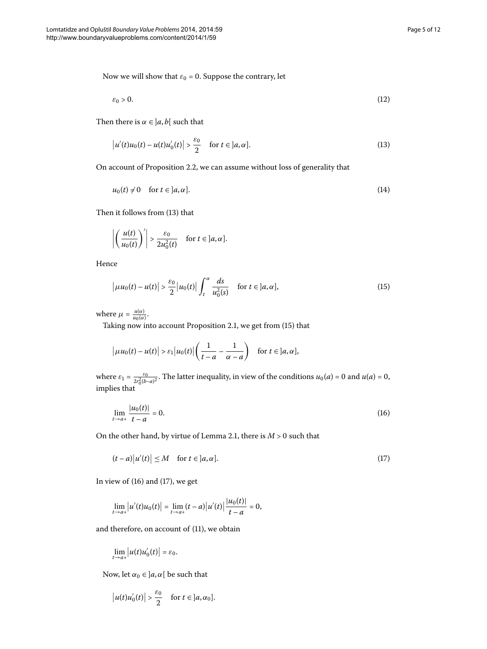Now we will show that  $\varepsilon_0 = 0$ . Suppose the contrary, let

<span id="page-4-4"></span><span id="page-4-0"></span>
$$
\varepsilon_0 > 0. \tag{12}
$$

Then there is  $\alpha \in ]a, b[$  such that

$$
\left|u'(t)u_0(t) - u(t)u'_0(t)\right| > \frac{\varepsilon_0}{2} \quad \text{for } t \in ]a, \alpha].\tag{13}
$$

On account of Proposition 2[.](#page-2-3)2, we can assume without loss of generality that

<span id="page-4-1"></span>
$$
u_0(t) \neq 0 \quad \text{for } t \in ]a, \alpha]. \tag{14}
$$

Then it follows from (13) that

$$
\left|\left(\frac{u(t)}{u_0(t)}\right)'\right| > \frac{\varepsilon_0}{2u_0^2(t)} \quad \text{for } t \in ]a, \alpha].
$$

Hence

$$
\left|\mu u_0(t) - u(t)\right| > \frac{\varepsilon_0}{2} \left|u_0(t)\right| \int_t^\alpha \frac{ds}{u_0^2(s)} \quad \text{for } t \in ]a, \alpha],\tag{15}
$$

where  $\mu = \frac{u(\alpha)}{u_0(\alpha)}$ .

Taking now into account Proposition 2.1, we get from [\(](#page-4-1)15) that

<span id="page-4-2"></span>
$$
\big|\mu u_0(t) - u(t)\big| > \varepsilon_1 \big| u_0(t) \big| \bigg( \frac{1}{t-a} - \frac{1}{\alpha - a} \bigg) \quad \text{for } t \in [a, \alpha],
$$

where  $\varepsilon_1 = \frac{\varepsilon_0}{2r_0^2(b-a)^2}$ . The latter inequality, in view of the conditions  $u_0(a) = 0$  and  $u(a) = 0$ , implies that

<span id="page-4-3"></span>
$$
\lim_{t \to a+} \frac{|u_0(t)|}{t - a} = 0.
$$
\n(16)

On the other hand, by virtue of Lemma 2.1, there is  $M > 0$  such that

$$
(t-a)|u'(t)| \le M \quad \text{for } t \in [a, \alpha]. \tag{17}
$$

In view of  $(16)$  $(16)$  and  $(17)$ , we get

$$
\lim_{t \to a+} |u'(t)u_0(t)| = \lim_{t \to a+} (t-a) |u'(t)| \frac{|u_0(t)|}{t-a} = 0,
$$

and therefore, on account of  $(11)$  $(11)$ , we obtain

$$
\lim_{t\to a+}\big|u(t)u'_0(t)\big|=\varepsilon_0.
$$

Now, let  $\alpha_0 \in ]a, \alpha[$  be such that

$$
|u(t)u'_0(t)| > \frac{\varepsilon_0}{2} \quad \text{for } t \in ]a,\alpha_0].
$$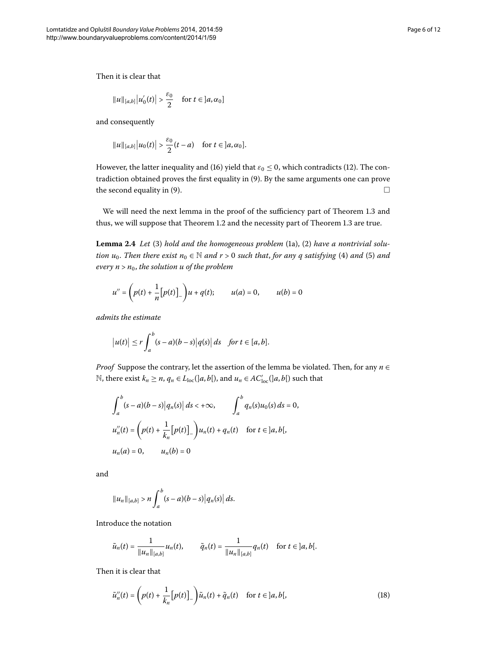$$
||u||_{[a,b]} |u'_0(t)| > \frac{\varepsilon_0}{2} \quad \text{for } t \in ]a,\alpha_0]
$$

and consequently

$$
||u||_{[a,b]}|u_0(t)| > \frac{\varepsilon_0}{2}(t-a)
$$
 for  $t \in ]a,\alpha_0]$ .

<span id="page-5-1"></span>However, the latter inequality and (16[\)](#page-4-2) yield that  $\varepsilon_0 \le 0$ , which contradicts (12). The con-tradiction obtained proves the first equality in [\(](#page-3-4)9). By the same arguments one can prove the second equality in (9).  $\Box$ 

We will need the next lemma in the proof of the sufficiency part of Theorem 1[.](#page-1-3)3 and thus, we will suppose that Theorem 1[.](#page-1-3)2 and the necessity part of Theorem 1.3 are true.

**Lemm[a](#page-1-0) 2.4** Let [\(](#page-0-3)3[\)](#page-0-2) hold and the homogeneous problem (1a), (2) have a nontrivial solu*tion u*<sub>0</sub>. *Then there exist*  $n_0 \in \mathbb{N}$  *and*  $r > 0$  *such that, for any q satisfying* (4[\)](#page-1-2) *and* (5) *and every n* > *n*, *the solution u of the problem*

$$
u'' = \left(p(t) + \frac{1}{n}[p(t)]_-\right)u + q(t); \qquad u(a) = 0, \qquad u(b) = 0
$$

*admits the estimate*

$$
\big|u(t)\big| \le r \int_a^b (s-a)(b-s) \big|q(s)\big| ds \quad \text{for } t \in [a,b].
$$

*Proof* Suppose the contrary, let the assertion of the lemma be violated. Then, for any *n* ∈ N, there exist *k<sub>n</sub>* ≥ *n*, *q<sub>n</sub>* ∈ *L*<sub>loc</sub>(|*a*, *b*[), and *u<sub>n</sub>* ∈ *AC*'<sub>loc</sub>(|*a*, *b*[) such that

$$
\int_{a}^{b} (s-a)(b-s) |q_{n}(s)| ds < +\infty, \qquad \int_{a}^{b} q_{n}(s) u_{0}(s) ds = 0,
$$
  

$$
u''_{n}(t) = \left(p(t) + \frac{1}{k_{n}} [p(t)]_{-}\right) u_{n}(t) + q_{n}(t) \quad \text{for } t \in ]a, b[,
$$
  

$$
u_{n}(a) = 0, \qquad u_{n}(b) = 0
$$

and

<span id="page-5-0"></span>
$$
||u_n||_{[a,b]} > n \int_a^b (s-a)(b-s) |q_n(s)| ds.
$$

Introduce the notation

$$
\tilde{u}_n(t) = \frac{1}{\|u_n\|_{[a,b]}} u_n(t), \qquad \tilde{q}_n(t) = \frac{1}{\|u_n\|_{[a,b]}} q_n(t) \quad \text{for } t \in ]a,b[.
$$

Then it is clear that

$$
\tilde{u}_n''(t) = \left(p(t) + \frac{1}{k_n} \left[p(t)\right]_-\right) \tilde{u}_n(t) + \tilde{q}_n(t) \quad \text{for } t \in ]a, b[, \tag{18}
$$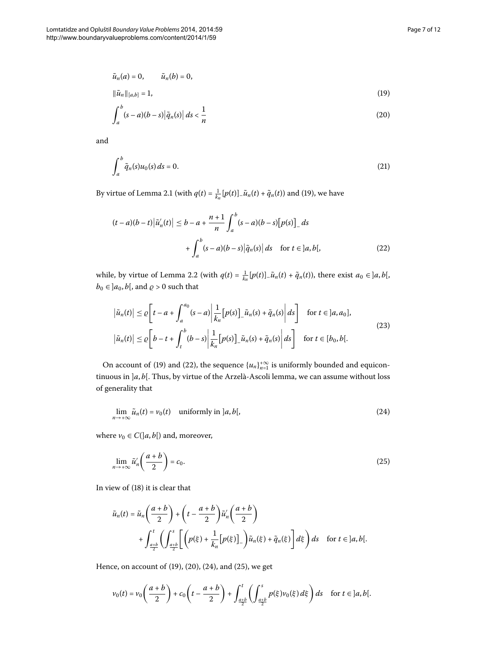<span id="page-6-2"></span><span id="page-6-0"></span>
$$
\tilde{u}_n(a) = 0, \qquad \tilde{u}_n(b) = 0,
$$
  

$$
\|\tilde{u}_n\|_{[a,b]} = 1,
$$
 (19)

<span id="page-6-6"></span>
$$
\int_{a}^{b} (s-a)(b-s) \left| \tilde{q}_n(s) \right| ds < \frac{1}{n}
$$
\n(20)

<span id="page-6-1"></span>and

$$
\int_{a}^{b} \tilde{q}_n(s)u_0(s) ds = 0.
$$
\n(21)

By virtue of Lemma 2[.](#page-2-4)1 (with  $q(t) = \frac{1}{k_n} [p(t)]_- \tilde{u}_n(t) + \tilde{q}_n(t)$ ) and (19), we have

<span id="page-6-5"></span>
$$
(t-a)(b-t)\left|\tilde{u}'_n(t)\right| \le b - a + \frac{n+1}{n} \int_a^b (s-a)(b-s) \left[p(s)\right]_s ds + \int_a^b (s-a)(b-s) \left|\tilde{q}_n(s)\right| ds \quad \text{for } t \in ]a, b[, \tag{22}
$$

while, by virtue of Lemma 2[.](#page-2-1)2 (with  $q(t) = \frac{1}{k_n} [p(t)]_- \tilde{u}_n(t) + \tilde{q}_n(t)$ ), there exist  $a_0 \in ]a, b[,$  $b_0 \in ]a_0, b[$ , and  $\rho > 0$  such that

<span id="page-6-3"></span>
$$
\left|\tilde{u}_n(t)\right| \leq \varrho \left[t - a + \int_a^{a_0} (s - a) \left|\frac{1}{k_n} [p(s)]_-\tilde{u}_n(s) + \tilde{q}_n(s) \right| ds\right] \quad \text{for } t \in [a, a_0],
$$
  

$$
\left|\tilde{u}_n(t)\right| \leq \varrho \left[b - t + \int_t^b (b - s) \left|\frac{1}{k_n} [p(s)]_-\tilde{u}_n(s) + \tilde{q}_n(s) \right| ds\right] \quad \text{for } t \in [b_0, b].
$$
 (23)

On account of (19[\)](#page-6-1) and (22), the sequence  ${u_n}_{n=1}^{+\infty}$  is uniformly bounded and equicontinuous in ]*a*, *b*[. Thus, by virtue of the Arzelà-Ascoli lemma, we can assume without loss of generality that

<span id="page-6-4"></span>
$$
\lim_{n \to +\infty} \tilde{u}_n(t) = v_0(t) \quad \text{uniformly in } ]a, b[, \tag{24}
$$

where  $v_0 \in C(|a, b|)$  and, moreover,

$$
\lim_{n \to +\infty} \tilde{u}'_n \left( \frac{a+b}{2} \right) = c_0. \tag{25}
$$

In view of (18[\)](#page-5-0) it is clear that

$$
\tilde{u}_n(t) = \tilde{u}_n\left(\frac{a+b}{2}\right) + \left(t - \frac{a+b}{2}\right)\tilde{u}'_n\left(\frac{a+b}{2}\right) \n+ \int_{\frac{a+b}{2}}^t \left(\int_{\frac{a+b}{2}}^s \left[\left(p(\xi) + \frac{1}{k_n}[p(\xi)]_-\right)\tilde{u}_n(\xi) + \tilde{q}_n(\xi)\right] d\xi\right) ds \quad \text{for } t \in ]a, b[.
$$

Hence, on account of  $(19)$  $(19)$ ,  $(20)$  $(20)$ ,  $(24)$ , and  $(25)$ , we get

$$
v_0(t) = v_0\left(\frac{a+b}{2}\right) + c_0\left(t - \frac{a+b}{2}\right) + \int_{\frac{a+b}{2}}^t \left(\int_{\frac{a+b}{2}}^s p(\xi)v_0(\xi) d\xi\right) ds \quad \text{for } t \in ]a, b[.
$$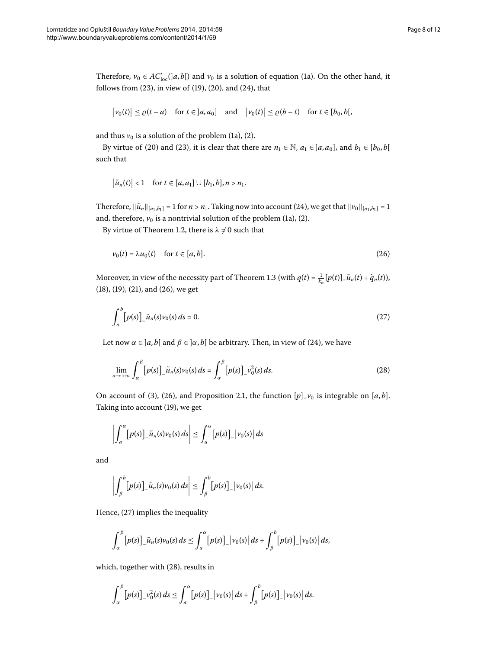Therefore,  $v_0 \in AC'_{loc}(|a,b|)$  $v_0 \in AC'_{loc}(|a,b|)$  $v_0 \in AC'_{loc}(|a,b|)$  and  $v_0$  is a solution of equation (1a). On the other hand, it follows from  $(23)$  $(23)$ , in view of  $(19)$ ,  $(20)$ , and  $(24)$ , that

$$
\big|v_0(t)\big| \le \varrho(t-a) \quad \text{for } t \in [a,a_0] \quad \text{and} \quad \big|v_0(t)\big| \le \varrho(b-t) \quad \text{for } t \in [b_0,b[,
$$

[a](#page-1-0)nd thus  $v_0$  is a solution of the problem [\(](#page-0-2)1a), (2).

By virtue of [\(](#page-6-5)20) and (23), it is clear that there are  $n_1 \in \mathbb{N}$ ,  $a_1 \in [a, a_0]$ , and  $b_1 \in [b_0, b[$ such that

<span id="page-7-0"></span>
$$
\left|\tilde{u}_n(t)\right| < 1 \quad \text{for } t \in [a,a_1] \cup [b_1,b], n > n_1.
$$

Therefore,  $\|\tilde{u}_n\|_{[a_1,b_1]} = 1$  for  $n > n_1$ . Taking now into account (24), we get that  $\|v_0\|_{[a_1,b_1]} = 1$ [a](#page-1-0)nd, therefore,  $v_0$  is a nontrivial solution of the problem [\(](#page-0-2)1a), (2).

By virtue of Theorem 1[.](#page-1-4)2, there is  $\lambda \neq 0$  such that

<span id="page-7-1"></span>
$$
v_0(t) = \lambda u_0(t) \quad \text{for } t \in [a, b].
$$
\n
$$
(26)
$$

Moreover, in view of the necessity part of Theorem 1[.](#page-1-3)3 (with  $q(t) = \frac{1}{k_n} [p(t)]_- \tilde{u}_n(t) + \tilde{q}_n(t)$ ),  $(18)$  $(18)$ ,  $(19)$ ,  $(21)$ , and  $(26)$ , we get

<span id="page-7-2"></span>
$$
\int_{a}^{b} \left[ p(s) \right]_{\alpha} \tilde{u}_n(s) v_0(s) \, ds = 0. \tag{27}
$$

Let now  $\alpha \in [a, b]$  and  $\beta \in [\alpha, b]$  be arbitrary. Then, in view of (24), we have

$$
\lim_{n \to +\infty} \int_{\alpha}^{\beta} \left[ p(s) \right]_{\alpha} \tilde{u}_n(s) v_0(s) \, ds = \int_{\alpha}^{\beta} \left[ p(s) \right]_{\alpha} v_0^2(s) \, ds. \tag{28}
$$

On account of [\(](#page-0-3)3), (26), and Proposition 2[.](#page-2-0)1, the function  $[p]$ <sub>- $v_0$ </sub> is integrable on [a, b]. Taking into account (19[\)](#page-6-0), we get

$$
\left|\int_a^{\alpha} [p(s)]_{\alpha} \tilde{u}_n(s) v_0(s) ds \right| \leq \int_a^{\alpha} [p(s)]_{\alpha} |v_0(s)| ds
$$

and

$$
\left|\int_{\beta}^{b} [p(s)]_{-} \tilde{u}_n(s) v_0(s) ds \right| \leq \int_{\beta}^{b} [p(s)]_{-} |v_0(s)| ds.
$$

Hence,  $(27)$  implies the inequality

$$
\int_{\alpha}^{\beta} \left[ p(s) \right]_{\alpha} \tilde{u}_n(s) v_0(s) \, ds \leq \int_{\alpha}^{\alpha} \left[ p(s) \right]_{\alpha} \left| v_0(s) \right| \, ds + \int_{\beta}^{b} \left[ p(s) \right]_{\alpha} \left| v_0(s) \right| \, ds,
$$

which, together with  $(28)$ , results in

$$
\int_{\alpha}^{\beta} [p(s)]_{-} v_{0}^{2}(s) ds \leq \int_{a}^{\alpha} [p(s)]_{-} |v_{0}(s)| ds + \int_{\beta}^{b} [p(s)]_{-} |v_{0}(s)| ds.
$$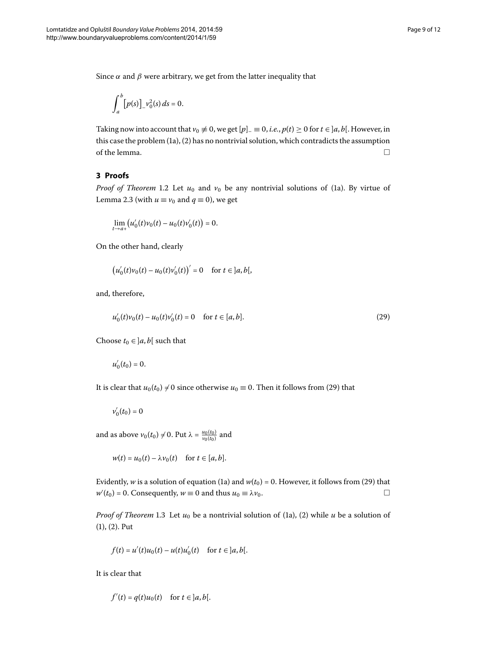Since  $\alpha$  and  $\beta$  were arbitrary, we get from the latter inequality that

$$
\int_a^b [p(s)]_- v_0^2(s) ds = 0.
$$

Taking now into account that  $v_0 \neq 0$ , we get  $[p]_0 \equiv 0$ , *i.e.*,  $p(t) \geq 0$  for  $t \in [a, b]$ . However, in this case the problem  $(1a)$  $(1a)$ ,  $(2)$  $(2)$  has no nontrivial solution, which contradicts the assumption of the lemma.  $\Box$ 

## **3 Proofs**

*Proof of Theorem* 1[.](#page-1-4)2 Let  $u_0$  and  $v_0$  be any nontrivial solutions of (1a). By virtue of Lemma 2[.](#page-3-5)3 (with  $u \equiv v_0$  and  $q \equiv 0$ ), we get

<span id="page-8-0"></span>
$$
\lim_{t\to a+} \big(u'_0(t)v_0(t)-u_0(t)v'_0(t)\big)=0.
$$

On the other hand, clearly

$$
(u'_0(t)v_0(t) - u_0(t)v'_0(t))' = 0
$$
 for  $t \in ]a, b[$ ,

and, therefore,

$$
u'_{0}(t)v_{0}(t) - u_{0}(t)v'_{0}(t) = 0 \quad \text{for } t \in [a, b].
$$
\n(29)

Choose  $t_0 \in ]a, b[$  such that

$$
u_0'(t_0)=0.
$$

It is clear that  $u_0(t_0) \neq 0$  since otherwise  $u_0 \equiv 0$ . Then it follows from (29) that

$$
v_0'(t_0)=0
$$

and as above  $v_0(t_0) \neq 0$ . Put  $\lambda = \frac{u_0(t_0)}{v_0(t_0)}$  and

$$
w(t) = u_0(t) - \lambda v_0(t) \quad \text{for } t \in [a, b].
$$

Evidently, *w* is [a](#page-1-0) solution of equation (1a[\)](#page-8-0) and  $w(t_0) = 0$ . However, it follows from (29) that  $w'(t_0) = 0$ . Consequently,  $w \equiv 0$  and thus  $u_0 \equiv \lambda v_0$ .  $\Box$ 

*Proof of Theorem* 1[.](#page-1-3)3 Let  $u_0$  be a nontrivial solution of [\(](#page-0-2)1a), (2) while  $u$  be a solution of  $(1), (2)$  $(1), (2)$  $(1), (2)$ . Put

$$
f(t) = u'(t)u_0(t) - u(t)u'_0(t) \text{ for } t \in ]a, b[.
$$

It is clear that

$$
f'(t) = q(t)u_0(t) \quad \text{for } t \in ]a, b[.
$$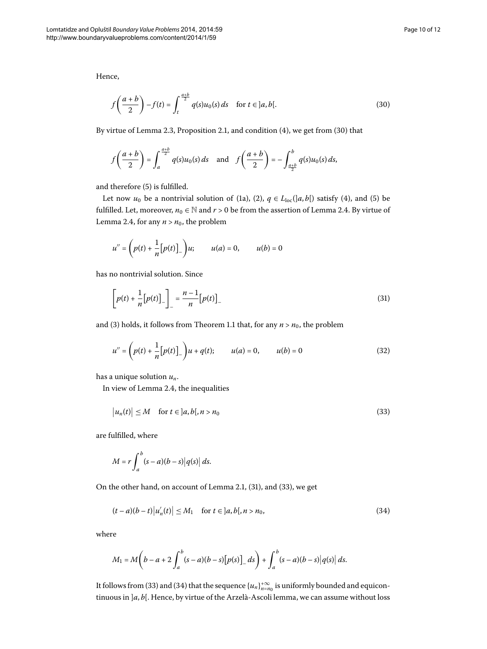Hence,

<span id="page-9-0"></span>
$$
f\left(\frac{a+b}{2}\right) - f(t) = \int_{t}^{\frac{a+b}{2}} q(s)u_0(s) \, ds \quad \text{for } t \in ]a, b[.
$$
 (30)

By virtue of Lemma 2[.](#page-2-0)3, Proposition 2.1, and condition  $(4)$ , we get from  $(30)$  that

$$
f\left(\frac{a+b}{2}\right) = \int_{a}^{\frac{a+b}{2}} q(s)u_0(s) ds \quad \text{and} \quad f\left(\frac{a+b}{2}\right) = -\int_{\frac{a+b}{2}}^{b} q(s)u_0(s) ds,
$$

and therefore (5[\)](#page-1-2) is fulfilled.

Let now  $u_0$  be a nontrivial solution of (1a[\)](#page-0-2), (2),  $q \in L_{loc}([a, b])$  satisfy (4), and (5) be fulfilled[.](#page-5-1) Let, moreover,  $n_0 \in \mathbb{N}$  and  $r > 0$  be from the assertion of Lemma 2.4. By virtue of Lemma 2[.](#page-5-1)4, for any  $n > n_0$ , the problem

<span id="page-9-1"></span>
$$
u'' = \left(p(t) + \frac{1}{n}[p(t)]_-\right)u; \qquad u(a) = 0, \qquad u(b) = 0
$$

has no nontrivial solution. Since

<span id="page-9-4"></span>
$$
\left[p(t) + \frac{1}{n} [p(t)]_{-}\right]_{-} = \frac{n-1}{n} [p(t)]_{-}
$$
\n(31)

and [\(](#page-0-3)3) holds, it follows from Theorem 1[.](#page-1-5)1 that, for any  $n > n_0$ , the problem

<span id="page-9-2"></span>
$$
u'' = \left(p(t) + \frac{1}{n}[p(t)]_-\right)u + q(t); \qquad u(a) = 0, \qquad u(b) = 0 \tag{32}
$$

has a unique solution *un*.

In view of Lemma 2.4, the inequalities

$$
|u_n(t)| \le M \quad \text{for } t \in ]a, b[, n > n_0 \tag{33}
$$

are fulfilled, where

<span id="page-9-3"></span>
$$
M = r \int_a^b (s-a)(b-s) |q(s)| ds.
$$

On the other hand, on account of Lemma 2.1, [\(](#page-9-1)31), and (33), we get

$$
(t-a)(b-t)|u'_n(t)| \le M_1 \quad \text{for } t \in ]a,b[, n > n_0,
$$
\n(34)

where

$$
M_1 = M\left(b-a+2\int_a^b (s-a)(b-s)[p(s)]_s\right) + \int_a^b (s-a)(b-s)|q(s)|\,ds.
$$

It follows from (33[\)](#page-9-2) and (34) that the sequence  $\{u_n\}_{n=n_0}^{+\infty}$  is uniformly bounded and equicontinuous in ]*a*, *b*[. Hence, by virtue of the Arzelà-Ascoli lemma, we can assume without loss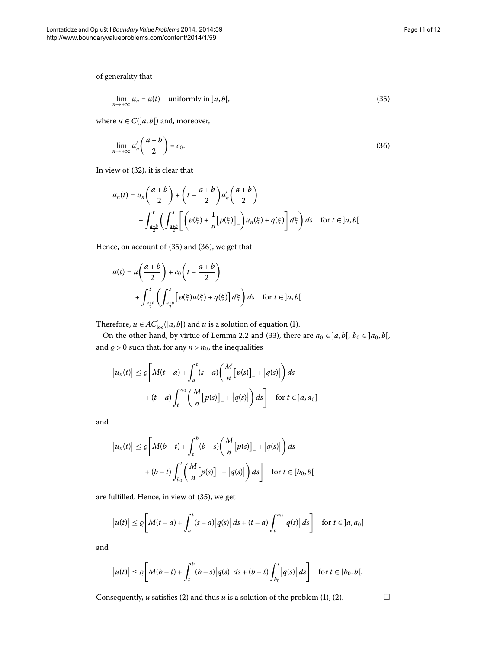<span id="page-10-1"></span><span id="page-10-0"></span>
$$
\lim_{n \to +\infty} u_n = u(t) \quad \text{uniformly in } ]a, b[, \tag{35}
$$

where  $u \in C([a, b])$  and, moreover,

$$
\lim_{n \to +\infty} u'_n \left( \frac{a+b}{2} \right) = c_0. \tag{36}
$$

In view of  $(32)$  $(32)$ , it is clear that

$$
u_n(t) = u_n\left(\frac{a+b}{2}\right) + \left(t - \frac{a+b}{2}\right)u'_n\left(\frac{a+b}{2}\right)
$$
  
+ 
$$
\int_{\frac{a+b}{2}}^t \left(\int_{\frac{a+b}{2}}^s \left[\left(p(\xi) + \frac{1}{n}[p(\xi)]_-\right)u_n(\xi) + q(\xi)\right]d\xi\right)ds \quad \text{for } t \in ]a,b[.
$$

Hence, on account of  $(35)$  $(35)$  and  $(36)$ , we get that

$$
u(t) = u\left(\frac{a+b}{2}\right) + c_0\left(t - \frac{a+b}{2}\right)
$$
  
+ 
$$
\int_{\frac{a+b}{2}}^{t} \left(\int_{\frac{a+b}{2}}^{s} \left[p(\xi)u(\xi) + q(\xi)\right] d\xi\right) ds \quad \text{for } t \in ]a, b[.
$$

Therefore,  $u \in AC'_{loc}([a, b])$  $u \in AC'_{loc}([a, b])$  and  $u$  is a solution of equation (1).

On the other hand, by virtue of Lemma 2[.](#page-2-1)2 and (33), there are  $a_0 \in ]a, b[$ ,  $b_0 \in ]a_0, b[$ , and  $\rho > 0$  such that, for any  $n > n_0$ , the inequalities

$$
\left| u_n(t) \right| \leq \varrho \bigg[ M(t-a) + \int_a^t (s-a) \bigg( \frac{M}{n} \big[ p(s) \big]_- + \big| q(s) \big| \bigg) ds
$$
  
+  $(t-a) \int_t^{a_0} \bigg( \frac{M}{n} \big[ p(s) \big]_- + \big| q(s) \big| \bigg) ds \bigg]$  for  $t \in [a, a_0]$ 

and

$$
\left| u_n(t) \right| \le \varrho \bigg[ M(b-t) + \int_t^b (b-s) \bigg( \frac{M}{n} \big[ p(s) \big]_- + \big| q(s) \big| \bigg) ds
$$
  
+  $(b-t) \int_{b_0}^t \bigg( \frac{M}{n} \big[ p(s) \big]_- + \big| q(s) \big| \bigg) ds \bigg] \quad \text{for } t \in [b_0, b[$ 

are fulfilled. Hence, in view of [\(](#page-10-0)35), we get

$$
\big|u(t)\big| \leq \varrho \bigg[M(t-a) + \int_a^t (s-a) \big|q(s)\big| \, ds + (t-a) \int_t^{a_0} \big|q(s)\big| \, ds\bigg] \quad \text{for } t \in [a, a_0]
$$

and

$$
\big|u(t)\big| \leq \varrho\bigg[M(b-t)+\int_t^b(b-s)\big|q(s)\big|\,ds+(b-t)\int_{b_0}^t\big|q(s)\big|\,ds\bigg] \quad \text{for }t\in[b_0,b[.
$$

Consequently, *u* satisfies (2[\)](#page-0-2) and thus *u* is a solution of the problem [\(](#page-0-2)1), (2).